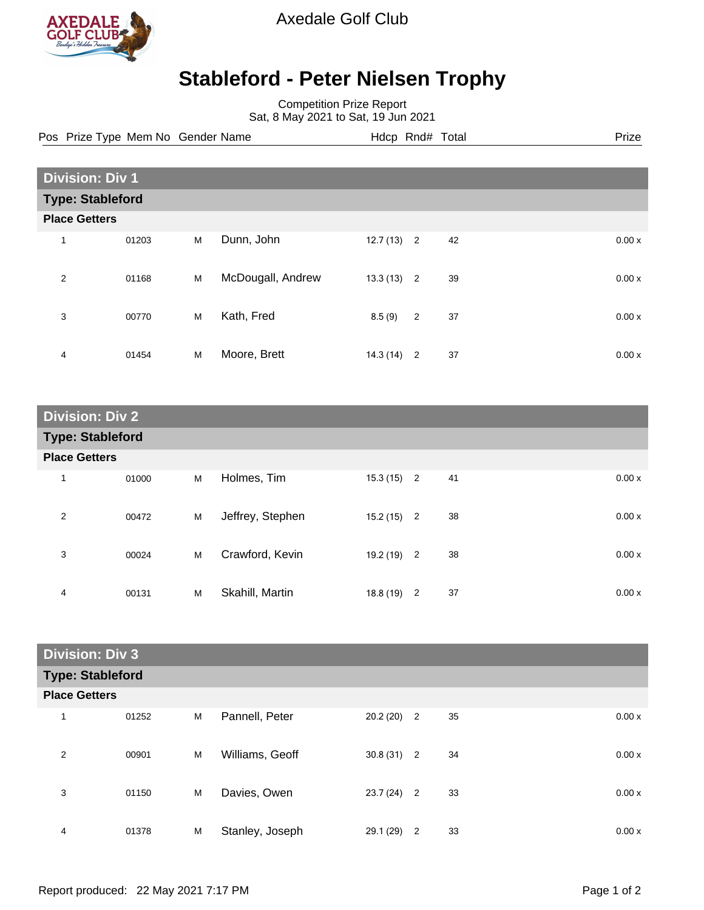

Axedale Golf Club

## **Stableford - Peter Nielsen Trophy**

Competition Prize Report Sat, 8 May 2021 to Sat, 19 Jun 2021

| Pos Prize Type Mem No Gender Name | Hdcp Rnd# Total | Prize |
|-----------------------------------|-----------------|-------|

| <b>Division: Div 1</b>  |       |   |                   |              |                |    |  |       |
|-------------------------|-------|---|-------------------|--------------|----------------|----|--|-------|
| <b>Type: Stableford</b> |       |   |                   |              |                |    |  |       |
| <b>Place Getters</b>    |       |   |                   |              |                |    |  |       |
| 1                       | 01203 | M | Dunn, John        | $12.7(13)$ 2 |                | 42 |  | 0.00x |
| $\overline{2}$          | 01168 | M | McDougall, Andrew | $13.3(13)$ 2 |                | 39 |  | 0.00x |
| 3                       | 00770 | M | Kath, Fred        | 8.5(9)       | $\overline{2}$ | 37 |  | 0.00x |
| 4                       | 01454 | M | Moore, Brett      | $14.3(14)$ 2 |                | 37 |  | 0.00x |

| <b>Division: Div 2</b>  |       |   |                  |              |  |    |       |
|-------------------------|-------|---|------------------|--------------|--|----|-------|
| <b>Type: Stableford</b> |       |   |                  |              |  |    |       |
| <b>Place Getters</b>    |       |   |                  |              |  |    |       |
| $\mathbf 1$             | 01000 | M | Holmes, Tim      | $15.3(15)$ 2 |  | 41 | 0.00x |
| $\overline{2}$          | 00472 | M | Jeffrey, Stephen | $15.2(15)$ 2 |  | 38 | 0.00x |
| 3                       | 00024 | M | Crawford, Kevin  | $19.2(19)$ 2 |  | 38 | 0.00x |
| 4                       | 00131 | M | Skahill, Martin  | $18.8(19)$ 2 |  | 37 | 0.00x |

| <b>Division: Div 3</b> |                         |   |                 |              |                |    |       |  |
|------------------------|-------------------------|---|-----------------|--------------|----------------|----|-------|--|
|                        | <b>Type: Stableford</b> |   |                 |              |                |    |       |  |
| <b>Place Getters</b>   |                         |   |                 |              |                |    |       |  |
| 1                      | 01252                   | M | Pannell, Peter  | $20.2(20)$ 2 |                | 35 | 0.00x |  |
| 2                      | 00901                   | M | Williams, Geoff | $30.8(31)$ 2 |                | 34 | 0.00x |  |
| 3                      | 01150                   | M | Davies, Owen    | $23.7(24)$ 2 |                | 33 | 0.00x |  |
| 4                      | 01378                   | M | Stanley, Joseph | 29.1 (29)    | $\overline{2}$ | 33 | 0.00x |  |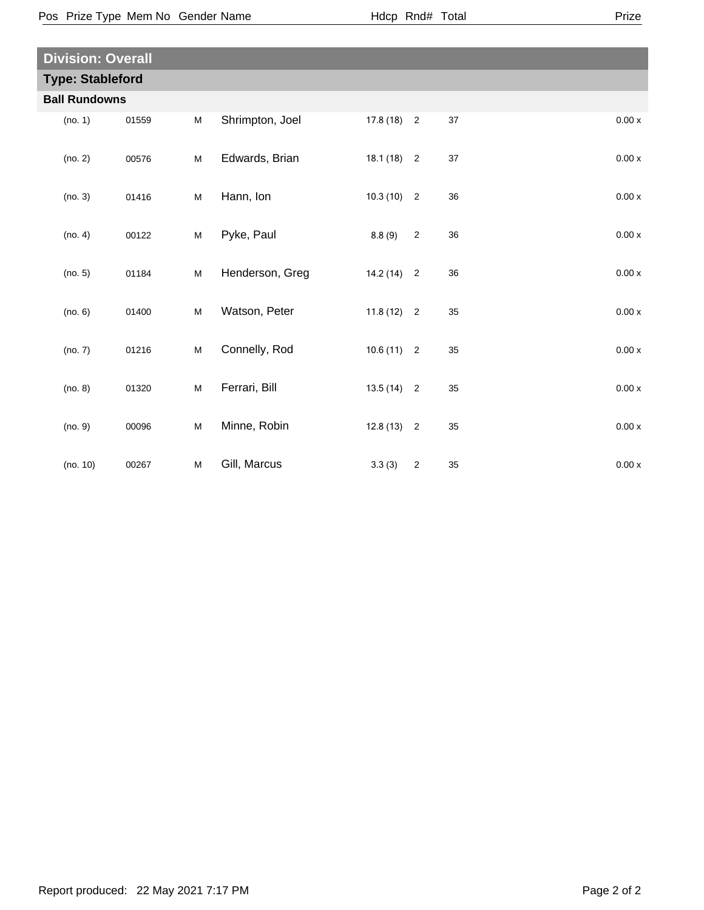| <b>Division: Overall</b> |       |   |                 |              |                |    |                    |  |
|--------------------------|-------|---|-----------------|--------------|----------------|----|--------------------|--|
| <b>Type: Stableford</b>  |       |   |                 |              |                |    |                    |  |
| <b>Ball Rundowns</b>     |       |   |                 |              |                |    |                    |  |
| (no. 1)                  | 01559 | M | Shrimpton, Joel | $17.8(18)$ 2 |                | 37 | 0.00x              |  |
| (no. 2)                  | 00576 | M | Edwards, Brian  | $18.1(18)$ 2 |                | 37 | $0.00x$            |  |
| (no. 3)                  | 01416 | M | Hann, Ion       | $10.3(10)$ 2 |                | 36 | 0.00x              |  |
| (no. 4)                  | 00122 | M | Pyke, Paul      | 8.8(9)       | $\sqrt{2}$     | 36 | 0.00x              |  |
| (no. 5)                  | 01184 | M | Henderson, Greg | $14.2(14)$ 2 |                | 36 | 0.00x              |  |
| (no. 6)                  | 01400 | M | Watson, Peter   | $11.8(12)$ 2 |                | 35 | 0.00x              |  |
| (no. 7)                  | 01216 | M | Connelly, Rod   | $10.6(11)$ 2 |                | 35 | 0.00x              |  |
| (no. 8)                  | 01320 | M | Ferrari, Bill   | $13.5(14)$ 2 |                | 35 | $0.00\,\mathrm{x}$ |  |
| (no. 9)                  | 00096 | M | Minne, Robin    | $12.8(13)$ 2 |                | 35 | 0.00x              |  |
| (no. 10)                 | 00267 | M | Gill, Marcus    | 3.3(3)       | $\overline{2}$ | 35 | 0.00x              |  |